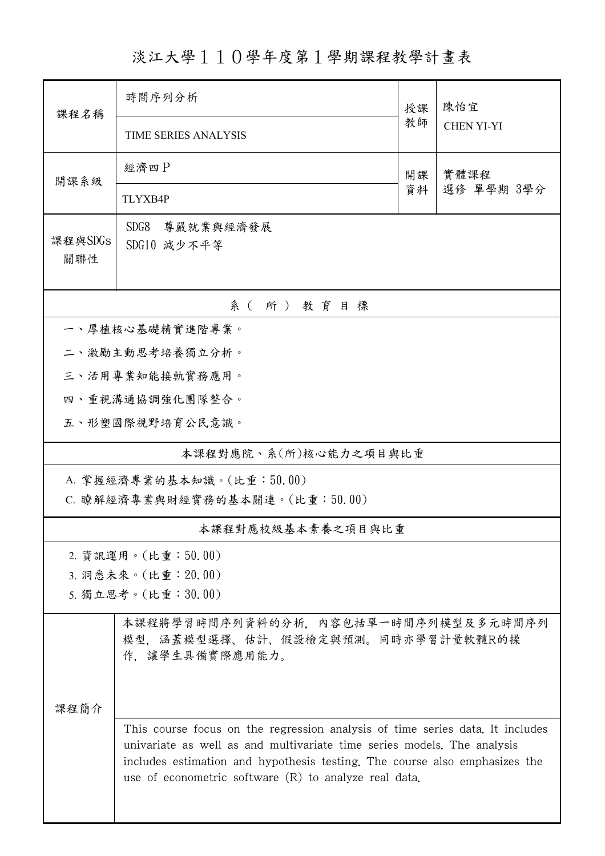淡江大學110學年度第1學期課程教學計畫表

| 課程名稱           | 時間序列分析                                                                                                                                                                                                                                                                                            | 授課         | 陳怡宜<br><b>CHEN YI-YI</b> |  |  |  |  |  |
|----------------|---------------------------------------------------------------------------------------------------------------------------------------------------------------------------------------------------------------------------------------------------------------------------------------------------|------------|--------------------------|--|--|--|--|--|
|                | TIME SERIES ANALYSIS                                                                                                                                                                                                                                                                              | 教師         |                          |  |  |  |  |  |
| 開課系級           | 經濟四P                                                                                                                                                                                                                                                                                              | 實體課程<br>開課 |                          |  |  |  |  |  |
|                | TLYXB4P                                                                                                                                                                                                                                                                                           | 資料         | 選修 單學期 3學分               |  |  |  |  |  |
| 課程與SDGs<br>關聯性 | SDG8<br>尊嚴就業與經濟發展<br>SDG10 減少不平等                                                                                                                                                                                                                                                                  |            |                          |  |  |  |  |  |
| 系(所)教育目標       |                                                                                                                                                                                                                                                                                                   |            |                          |  |  |  |  |  |
|                | 一、厚植核心基礎精實進階專業。                                                                                                                                                                                                                                                                                   |            |                          |  |  |  |  |  |
|                | 二、激勵主動思考培養獨立分析。                                                                                                                                                                                                                                                                                   |            |                          |  |  |  |  |  |
|                | 三、活用專業知能接軌實務應用。                                                                                                                                                                                                                                                                                   |            |                          |  |  |  |  |  |
|                | 四、重視溝通協調強化團隊整合。                                                                                                                                                                                                                                                                                   |            |                          |  |  |  |  |  |
|                | 五、形塑國際視野培育公民意識。                                                                                                                                                                                                                                                                                   |            |                          |  |  |  |  |  |
|                | 本課程對應院、系(所)核心能力之項目與比重                                                                                                                                                                                                                                                                             |            |                          |  |  |  |  |  |
|                | A. 掌握經濟專業的基本知識。(比重:50.00)                                                                                                                                                                                                                                                                         |            |                          |  |  |  |  |  |
|                | C. 瞭解經濟專業與財經實務的基本關連。(比重:50.00)                                                                                                                                                                                                                                                                    |            |                          |  |  |  |  |  |
|                | 本課程對應校級基本素養之項目與比重                                                                                                                                                                                                                                                                                 |            |                          |  |  |  |  |  |
|                | 2. 資訊運用。(比重:50.00)                                                                                                                                                                                                                                                                                |            |                          |  |  |  |  |  |
|                | 3. 洞悉未來。(比重: 20.00)                                                                                                                                                                                                                                                                               |            |                          |  |  |  |  |  |
|                | 5. 獨立思考。(比重:30.00)                                                                                                                                                                                                                                                                                |            |                          |  |  |  |  |  |
|                | 本課程將學習時間序列資料的分析,內容包括單一時間序列模型及多元時間序列<br>模型, 涵蓋模型選擇、估計、假設檢定與預測。同時亦學習計量軟體R的操<br>作、讓學生具備實際應用能力。                                                                                                                                                                                                       |            |                          |  |  |  |  |  |
| 课程简介           |                                                                                                                                                                                                                                                                                                   |            |                          |  |  |  |  |  |
|                | This course focus on the regression analysis of time series data. It includes<br>univariate as well as and multivariate time series models. The analysis<br>includes estimation and hypothesis testing. The course also emphasizes the<br>use of econometric software $(R)$ to analyze real data. |            |                          |  |  |  |  |  |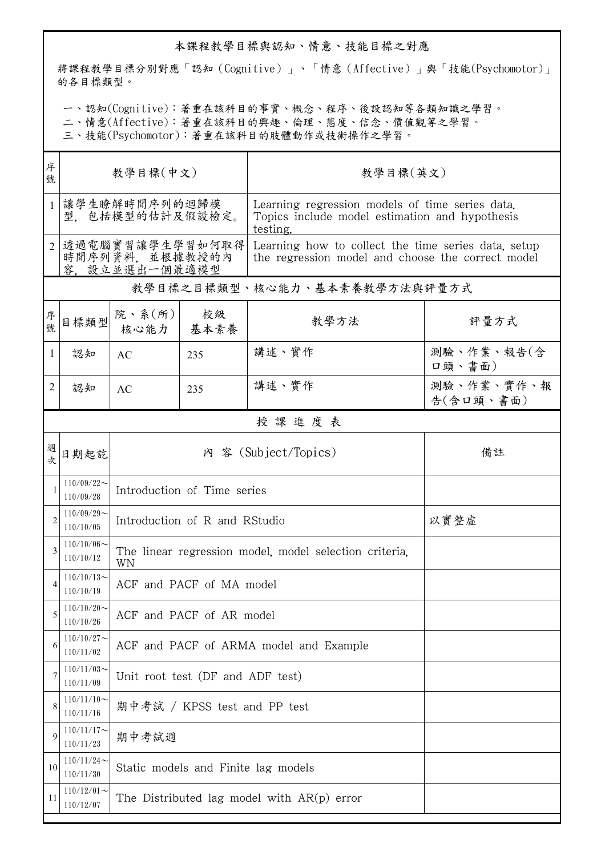## 本課程教學目標與認知、情意、技能目標之對應

將課程教學目標分別對應「認知(Cognitive)」、「情意(Affective)」與「技能(Psychomotor)」 的各目標類型。

一、認知(Cognitive):著重在該科目的事實、概念、程序、後設認知等各類知識之學習。

二、情意(Affective):著重在該科目的興趣、倫理、態度、信念、價值觀等之學習。

三、技能(Psychomotor):著重在該科目的肢體動作或技術操作之學習。

| 序<br>號         | 教學目標(中文)                                             |                                                              |                                  | 教學目標(英文)                                                                                                      |                         |  |
|----------------|------------------------------------------------------|--------------------------------------------------------------|----------------------------------|---------------------------------------------------------------------------------------------------------------|-------------------------|--|
| $\mathbf{1}$   | 讓學生瞭解時間序列的迴歸模<br>型,包括模型的估計及假設檢定。                     |                                                              |                                  | Learning regression models of time series data.<br>Topics include model estimation and hypothesis<br>testing. |                         |  |
| $\overline{2}$ | 透過電腦實習讓學生學習如何取得<br>時間序列資料, 並根據教授的內<br>容. 設立並選出一個最適模型 |                                                              |                                  | Learning how to collect the time series data, setup<br>the regression model and choose the correct model      |                         |  |
|                |                                                      |                                                              |                                  | 教學目標之目標類型、核心能力、基本素養教學方法與評量方式                                                                                  |                         |  |
| 序號             | 目標類型                                                 | 院、系(所)<br>核心能力                                               | 校級<br>基本素養                       | 教學方法                                                                                                          | 評量方式                    |  |
| $\mathbf{1}$   | 認知                                                   | AC                                                           | 235                              | 講述、實作                                                                                                         | 測驗、作業、報告(含<br>口頭、書面)    |  |
| 2              | 認知                                                   | AC                                                           | 235                              | 講述、實作                                                                                                         | 測驗、作業、實作、報<br>告(含口頭、書面) |  |
|                |                                                      |                                                              |                                  | 授課進度表                                                                                                         |                         |  |
| 週<br>坎         | 日期起訖                                                 | 內 容 (Subject/Topics)                                         |                                  |                                                                                                               | 備註                      |  |
|                | $110/09/22$ ~<br>110/09/28                           | Introduction of Time series                                  |                                  |                                                                                                               |                         |  |
| 2              | $110/09/29$ ~<br>110/10/05                           | Introduction of R and RStudio                                |                                  |                                                                                                               | 以實整虛                    |  |
| 3              | $110/10/06 \sim$<br>110/10/12                        | The linear regression model, model selection criteria.<br>WN |                                  |                                                                                                               |                         |  |
|                | $110/10/13$ ~<br>110/10/19                           | ACF and PACF of MA model                                     |                                  |                                                                                                               |                         |  |
| 5              | $110/10/20$ ~<br>110/10/26                           | ACF and PACF of AR model                                     |                                  |                                                                                                               |                         |  |
| 6              | $110/10/27$ ~<br>110/11/02                           | ACF and PACF of ARMA model and Example                       |                                  |                                                                                                               |                         |  |
| 7              | $110/11/03$ ~<br>110/11/09                           |                                                              | Unit root test (DF and ADF test) |                                                                                                               |                         |  |
| 8              | $110/11/10$ ~<br>110/11/16                           |                                                              | 期中考試 / KPSS test and PP test     |                                                                                                               |                         |  |
| 9              | $110/11/17$ ~<br>110/11/23                           | 期中考試週                                                        |                                  |                                                                                                               |                         |  |
| 10             | $110/11/24$ ~<br>110/11/30                           | Static models and Finite lag models                          |                                  |                                                                                                               |                         |  |
| 11             | $110/12/01$ ~<br>110/12/07                           | The Distributed lag model with $AR(p)$ error                 |                                  |                                                                                                               |                         |  |